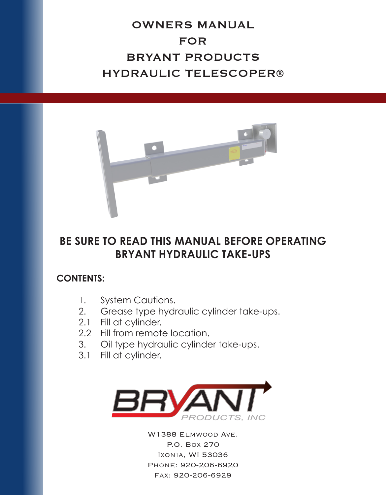## OWNERS MANUAL FOR BRYANT PRODUCTS HYDRAULIC TELESCOPER®



## **BE SURE TO READ THIS MANUAL BEFORE OPERATING BRYANT HYDRAULIC TAKE-UPS**

## **CONTENTS:**

- 1. System Cautions.
- 2. Grease type hydraulic cylinder take-ups.
- 2.1 Fill at cylinder.
	- 2.2 Fill from remote location.
	- 3. Oil type hydraulic cylinder take-ups.
	- 3.1 Fill at cylinder.



W1388 Elmwood Ave. P.O. Box 270 Ixonia, WI 53036 Phone: 920-206-6920 Fax: 920-206-6929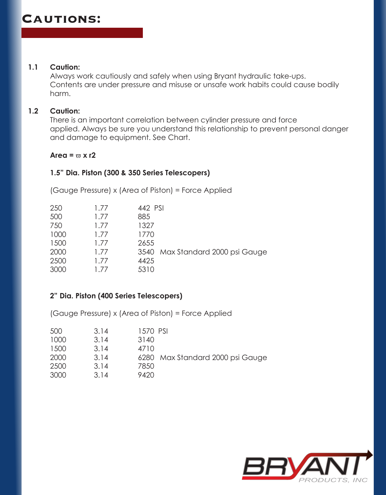#### **1.1 Caution:**

 Always work cautiously and safely when using Bryant hydraulic take-ups. Contents are under pressure and misuse or unsafe work habits could cause bodily harm.

#### **1.2 Caution:**

 There is an important correlation between cylinder pressure and force applied. Always be sure you understand this relationship to prevent personal danger and damage to equipment. See Chart.

#### $Area = \pi \times 12$

#### **1.5" Dia. Piston (300 & 350 Series Telescopers)**

 (Gauge Pressure) x (Area of Piston) = Force Applied

|                                  | 442 PSI | 1.77 | 250  |
|----------------------------------|---------|------|------|
|                                  | 885     | 1.77 | 500  |
|                                  | 1327    | 1.77 | 750  |
|                                  | 1770    | 1.77 | 1000 |
|                                  | 2655    | 1.77 | 1500 |
| 3540 Max Standard 2000 psi Gauge |         | 1.77 | 2000 |
|                                  | 4425    | 1.77 | 2500 |
|                                  | 5310    | 177  | 3000 |
|                                  |         |      |      |

#### **2" Dia. Piston (400 Series Telescopers)**

 (Gauge Pressure) x (Area of Piston) = Force Applied

| 500  | 3.14 | 1570 PSI |                                  |
|------|------|----------|----------------------------------|
| 1000 | 3.14 | 3140     |                                  |
| 1500 | 3.14 | 4710     |                                  |
| 2000 | 3.14 |          | 6280 Max Standard 2000 psi Gauge |
| 2500 | 3.14 | 7850     |                                  |
| 3000 | 3.14 | 9420     |                                  |

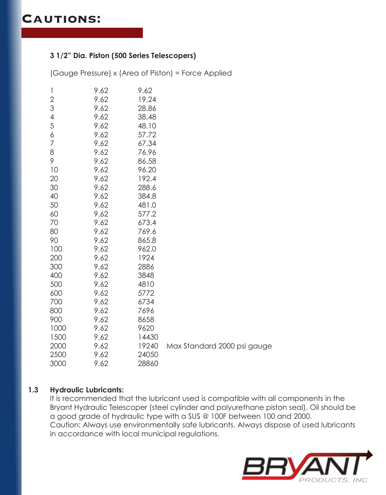#### **3 1/2" Dia. Piston (500 Series Telescopers)**

 (Gauge Pressure) x (Area of Piston) = Force Applied

| 1              | 9.62 | 9.62  |                             |
|----------------|------|-------|-----------------------------|
| $\overline{c}$ | 9.62 | 19.24 |                             |
| 3              | 9.62 | 28.86 |                             |
| 4              | 9.62 | 38.48 |                             |
| 5              | 9.62 | 48.10 |                             |
| 6              | 9.62 | 57.72 |                             |
| 7              | 9.62 | 67.34 |                             |
| 8              | 9.62 | 76.96 |                             |
| 9              | 9.62 | 86.58 |                             |
| 10             | 9.62 | 96.20 |                             |
| 20             | 9.62 | 192.4 |                             |
| 30             | 9.62 | 288.6 |                             |
| 40             | 9.62 | 384.8 |                             |
| 50             | 9.62 | 481.0 |                             |
| 60             | 9.62 | 577.2 |                             |
| 70             | 9.62 | 673.4 |                             |
| 80             | 9.62 | 769.6 |                             |
| 90             | 9.62 | 865.8 |                             |
| 100            | 9.62 | 962.0 |                             |
| 200            | 9.62 | 1924  |                             |
| 300            | 9.62 | 2886  |                             |
| 400            | 9.62 | 3848  |                             |
| 500            | 9.62 | 4810  |                             |
| 600            | 9.62 | 5772  |                             |
| 700            | 9.62 | 6734  |                             |
| 800            | 9.62 | 7696  |                             |
| 900            | 9.62 | 8658  |                             |
| 1000           | 9.62 | 9620  |                             |
| 1500           | 9.62 | 14430 |                             |
| 2000           | 9.62 | 19240 | Max Standard 2000 psi gauge |
| 2500           | 9.62 | 24050 |                             |
| 3000           | 9.62 | 28860 |                             |

#### **1.3 Hydraulic Lubricants:**

 It is recommended that the lubricant used is compatible with all components in the Bryant Hydraulic Telescoper (steel cylinder and polyurethane piston seal). Oil should be a good grade of hydraulic type with a SUS @ 100F between 100 and 2000. Caution: Always use environmentally safe lubricants. Always dispose of used lubricants in accordance with local municipal regulations.

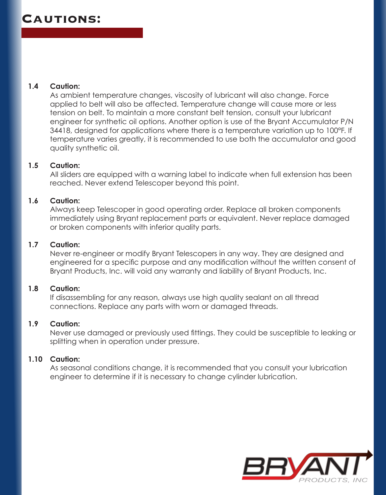#### **1.4 Caution:**

As ambient temperature changes, viscosity of lubricant will also change. Force applied to belt will also be affected. Temperature change will cause more or less tension on belt. To maintain a more constant belt tension, consult your lubricant engineer for synthetic oil options. Another option is use of the Bryant Accumulator P/N 34418, designed for applications where there is a temperature variation up to 100°F. If temperature varies greatly, it is recommended to use both the accumulator and good quality synthetic oil.

#### **1.5 Caution:**

 All sliders are equipped with a warning label to indicate when full extension has been reached. Never extend Telescoper beyond this point.

#### **1.6 Caution:**

 Always keep Telescoper in good operating order. Replace all broken components immediately using Bryant replacement parts or equivalent. Never replace damaged or broken components with inferior quality parts.

#### **1.7 Caution:**

 Never re-engineer or modify Bryant Telescopers in any way. They are designed and engineered for a specific purpose and any modification without the written consent of Bryant Products, Inc. will void any warranty and liability of Bryant Products, Inc.

#### **1.8 Caution:**

 If disassembling for any reason, always use high quality sealant on all thread connections. Replace any parts with worn or damaged threads.

#### **1.9 Caution:**

Never use damaged or previously used fittings. They could be susceptible to leaking or splitting when in operation under pressure.

#### **1.10 Caution:**

 As seasonal conditions change, it is recommended that you consult your lubrication engineer to determine if it is necessary to change cylinder lubrication.

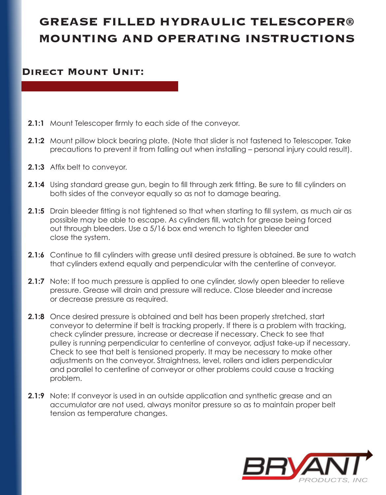# **GREASE FILLED HYDRAULIC TELESCOPER® MOUNTING AND OPERATING INSTRUCTIONS**

### **Direct Mount Unit:**

- **2.1:1** Mount Telescoper firmly to each side of the conveyor.
- **2.1:2** Mount pillow block bearing plate. (Note that slider is not fastened to Telescoper. Take precautions to prevent it from falling out when installing – personal injury could result).
- **2.1:3** Affix belt to conveyor.
- **2.1:4** Using standard grease gun, begin to fill through zerk fitting. Be sure to fill cylinders on both sides of the conveyor equally so as not to damage bearing.
- **2.1:5** Drain bleeder fitting is not tightened so that when starting to fill system, as much air as possible may be able to escape. As cylinders fill, watch for grease being forced out through bleeders. Use a 5/16 box end wrench to tighten bleeder and close the system.
- **2.1:6** Continue to fill cylinders with grease until desired pressure is obtained. Be sure to watch that cylinders extend equally and perpendicular with the centerline of conveyor.
- **2.1:7** Note: If too much pressure is applied to one cylinder, slowly open bleeder to relieve pressure. Grease will drain and pressure will reduce. Close bleeder and increase or decrease pressure as required.
- **2.1:8** Once desired pressure is obtained and belt has been properly stretched, start conveyor to determine if belt is tracking properly. If there is a problem with tracking, check cylinder pressure, increase or decrease if necessary. Check to see that pulley is running perpendicular to centerline of conveyor, adjust take-up if necessary. Check to see that belt is tensioned properly. It may be necessary to make other adjustments on the conveyor. Straightness, level, rollers and idlers perpendicular and parallel to centerline of conveyor or other problems could cause a tracking problem.
- **2.1:9** Note: If conveyor is used in an outside application and synthetic grease and an accumulator are not used, always monitor pressure so as to maintain proper belt tension as temperature changes.

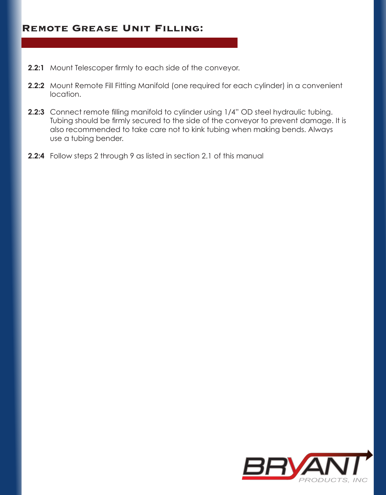### **Remote Grease Unit Filling:**

- **2.2:1** Mount Telescoper firmly to each side of the conveyor.
- **2.2:2** Mount Remote Fill Fitting Manifold (one required for each cylinder) in a convenient location.
- **2.2:3** Connect remote filling manifold to cylinder using 1/4" OD steel hydraulic tubing. Tubing should be firmly secured to the side of the conveyor to prevent damage. It is also recommended to take care not to kink tubing when making bends. Always use a tubing bender.
- **2.2:4** Follow steps 2 through 9 as listed in section 2.1 of this manual